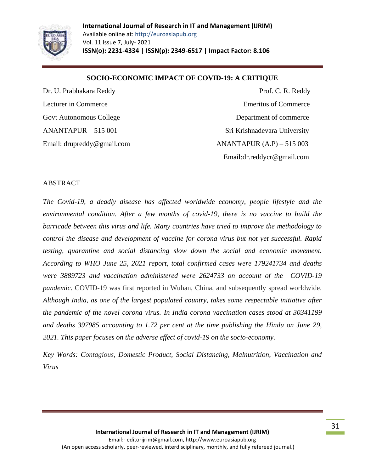

#### **SOCIO-ECONOMIC IMPACT OF COVID-19: A CRITIQUE**

Dr. U. Prabhakara Reddy **Prof. C. R. Reddy** Lecturer in Commerce Emeritus of Commerce Emeritus of Commerce Govt Autonomous College Department of commerce ANANTAPUR – 515 001 Sri Krishnadevara University Email: drupreddy@gmail.com ANANTAPUR (A.P) – 515 003 Email:dr.reddycr@gmail.com

#### ABSTRACT

*The Covid-19, a deadly disease has affected worldwide economy, people lifestyle and the environmental condition. After a few months of covid-19, there is no vaccine to build the barricade between this virus and life. Many countries have tried to improve the methodology to control the disease and development of vaccine for corona virus but not yet successful. Rapid testing, quarantine and social distancing slow down the social and economic movement. According to WHO June 25, 2021 report, total confirmed cases were 179241734 and deaths were 3889723 and vaccination administered were 2624733 on account of the COVID-19 pandemic.* COVID-19 was first reported in Wuhan, China, and subsequently spread worldwide. *Although India, as one of the largest populated country, takes some respectable initiative after the pandemic of the novel corona virus. In India corona vaccination cases stood at 30341199 and deaths 397985 accounting to 1.72 per cent at the time publishing the Hindu on June 29, 2021. This paper focuses on the adverse effect of covid-19 on the socio-economy.*

*Key Words: Contagious, Domestic Product, Social Distancing, Malnutrition*, *Vaccination and Virus*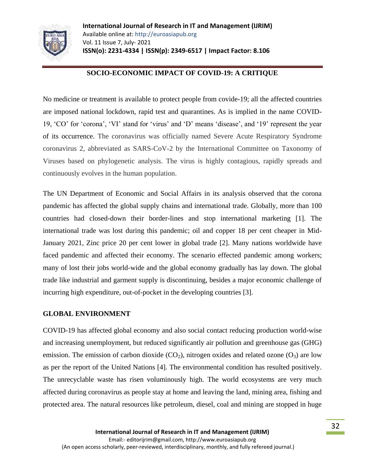

### **SOCIO-ECONOMIC IMPACT OF COVID-19: A CRITIQUE**

No medicine or treatment is available to protect people from covide-19; all the affected countries are imposed national lockdown, rapid test and quarantines. As is implied in the name COVID-19, 'CO' for 'corona', 'VI' stand for 'virus' and 'D' means 'disease', and '19' represent the year of its occurrence. The coronavirus was officially named Severe Acute Respiratory Syndrome coronavirus 2, abbreviated as SARS-CoV-2 by the International Committee on Taxonomy of Viruses based on phylogenetic analysis. The virus is highly contagious, rapidly spreads and continuously evolves in the human population.

The UN Department of Economic and Social Affairs in its analysis observed that the corona pandemic has affected the global supply chains and international trade. Globally, more than 100 countries had closed-down their border-lines and stop international marketing [1]. The international trade was lost during this pandemic; oil and copper 18 per cent cheaper in Mid-January 2021, Zinc price 20 per cent lower in global trade [2]. Many nations worldwide have faced pandemic and affected their economy. The scenario effected pandemic among workers; many of lost their jobs world-wide and the global economy gradually has lay down. The global trade like industrial and garment supply is discontinuing, besides a major economic challenge of incurring high expenditure, out-of-pocket in the developing countries [3].

#### **GLOBAL ENVIRONMENT**

COVID-19 has affected global economy and also social contact reducing production world-wise and increasing unemployment, but reduced significantly air pollution and greenhouse gas (GHG) emission. The emission of carbon dioxide  $(CO_2)$ , nitrogen oxides and related ozone  $(O_3)$  are low as per the report of the United Nations [4]. The environmental condition has resulted positively. The unrecyclable waste has risen voluminously high. The world ecosystems are very much affected during coronavirus as people stay at home and leaving the land, mining area, fishing and protected area. The natural resources like petroleum, diesel, coal and mining are stopped in huge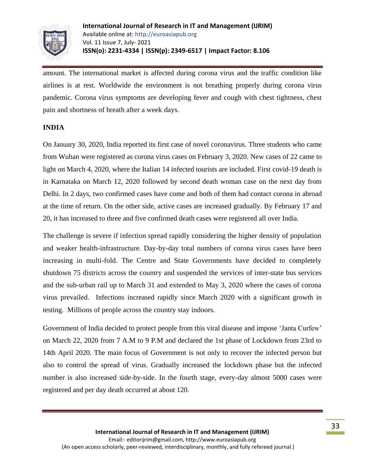

amount. The international market is affected during corona virus and the traffic condition like airlines is at rest. Worldwide the environment is not breathing properly during corona virus pandemic. Corona virus symptoms are developing fever and cough with chest tightness, chest pain and shortness of breath after a week days.

#### **INDIA**

On January 30, 2020, India reported its first case of novel coronavirus. Three students who came from Wuhan were registered as corona virus cases on February 3, 2020. New cases of 22 came to light on March 4, 2020, where the Italian 14 infected tourists are included. First covid-19 death is in Karnataka on March 12, 2020 followed by second death woman case on the next day from Delhi. In 2 days, two confirmed cases have come and both of them had contact corona in abroad at the time of return. On the other side, active cases are increased gradually. By February 17 and 20, it has increased to three and five confirmed death cases were registered all over India.

The challenge is severe if infection spread rapidly considering the higher density of population and weaker health-infrastructure. Day-by-day total numbers of corona virus cases have been increasing in multi-fold. The Centre and State Governments have decided to completely shutdown 75 districts across the country and suspended the services of inter-state bus services and the sub-urban rail up to March 31 and extended to May 3, 2020 where the cases of corona virus prevailed. Infections increased rapidly since March 2020 with a significant growth in testing. Millions of people across the country stay indoors.

Government of India decided to protect people from this viral disease and impose 'Janta Curfew' on March 22, 2020 from 7 A.M to 9 P.M and declared the 1st phase of Lockdown from 23rd to 14th April 2020. The main focus of Government is not only to recover the infected person but also to control the spread of virus. Gradually increased the lockdown phase but the infected number is also increased side-by-side. In the fourth stage, every-day almost 5000 cases were registered and per day death occurred at about 120.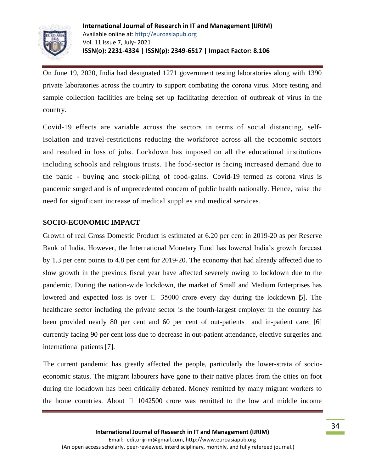

On June 19, 2020, India had designated 1271 government testing laboratories along with 1390 private laboratories across the country to support combating the corona virus. More testing and sample collection facilities are being set up facilitating detection of outbreak of virus in the country.

Covid-19 effects are variable across the sectors in terms of social distancing, selfisolation and travel-restrictions reducing the workforce across all the economic sectors and resulted in loss of jobs. Lockdown has imposed on all the educational institutions including schools and religious trusts. The food-sector is facing increased demand due to the panic - buying and stock-piling of food-gains. Covid-19 termed as corona virus is pandemic surged and is of unprecedented concern of public health nationally. Hence, raise the need for significant increase of medical supplies and medical services.

## **SOCIO-ECONOMIC IMPACT**

Growth of real Gross Domestic Product is estimated at 6.20 per cent in 2019-20 as per Reserve Bank of India. However, the International Monetary Fund has lowered India's growth forecast by 1.3 per cent points to 4.8 per cent for 2019-20. The economy that had already affected due to slow growth in the previous fiscal year have affected severely owing to lockdown due to the pandemic. During the nation-wide lockdown, the market of Small and Medium Enterprises has lowered and expected loss is over  $\Box$  35000 crore every day during the lockdown [5]. The healthcare sector including the private sector is the fourth-largest employer in the country has been provided nearly 80 per cent and 60 per cent of out-patients and in-patient care; [6] currently facing 90 per cent loss due to decrease in out-patient attendance, elective surgeries and international patients [7].

The current pandemic has greatly affected the people, particularly the lower-strata of socioeconomic status. The migrant labourers have gone to their native places from the cities on foot during the lockdown has been critically debated. Money remitted by many migrant workers to the home countries. About  $\Box$  1042500 crore was remitted to the low and middle income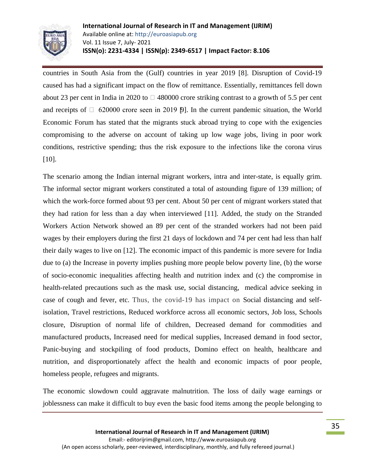

countries in South Asia from the (Gulf) countries in year 2019 [8]. Disruption of Covid-19 caused has had a significant impact on the flow of remittance. Essentially, remittances fell down about 23 per cent in India in 2020 to  $\Box$  480000 crore striking contrast to a growth of 5.5 per cent and receipts of  $\Box$  620000 crore seen in 2019 [9]. In the current pandemic situation, the World Economic Forum has stated that the migrants stuck abroad trying to cope with the exigencies compromising to the adverse on account of taking up low wage jobs, living in poor work conditions, restrictive spending; thus the risk exposure to the infections like the corona virus [10].

The scenario among the Indian internal migrant workers, intra and inter-state, is equally grim. The informal sector migrant workers constituted a total of astounding figure of 139 million; of which the work-force formed about 93 per cent. About 50 per cent of migrant workers stated that they had ration for less than a day when interviewed [11]. Added, the study on the Stranded Workers Action Network showed an 89 per cent of the stranded workers had not been paid wages by their employers during the first 21 days of lockdown and 74 per cent had less than half their daily wages to live on [12]. The economic impact of this pandemic is more severe for India due to (a) the Increase in poverty implies pushing more people below poverty line, (b) the worse of socio-economic inequalities affecting health and nutrition index and (c) the compromise in health-related precautions such as the mask use, social distancing, medical advice seeking in case of cough and fever, etc. Thus, the covid-19 has impact on Social distancing and selfisolation, Travel restrictions, Reduced workforce across all economic sectors, Job loss, Schools closure, Disruption of normal life of children, Decreased demand for commodities and manufactured products, Increased need for medical supplies, Increased demand in food sector, Panic-buying and stockpiling of food products, Domino effect on health, healthcare and nutrition, and disproportionately affect the health and economic impacts of poor people, homeless people, refugees and migrants.

The economic slowdown could aggravate malnutrition. The loss of daily wage earnings or joblessness can make it difficult to buy even the basic food items among the people belonging to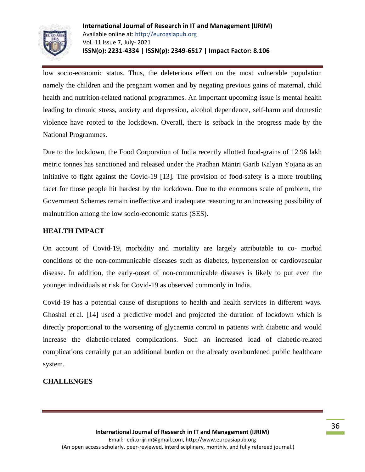

low socio-economic status. Thus, the deleterious effect on the most vulnerable population namely the children and the pregnant women and by negating previous gains of maternal, child health and nutrition-related national programmes. An important upcoming issue is mental health leading to chronic stress, anxiety and depression, alcohol dependence, self-harm and domestic violence have rooted to the lockdown. Overall, there is setback in the progress made by the National Programmes.

Due to the lockdown, the Food Corporation of India recently allotted food-grains of 12.96 lakh metric tonnes has sanctioned and released under the Pradhan Mantri Garib Kalyan Yojana as an initiative to fight against the Covid-19 [13]. The provision of food-safety is a more troubling facet for those people hit hardest by the lockdown. Due to the enormous scale of problem, the Government Schemes remain ineffective and inadequate reasoning to an increasing possibility of malnutrition among the low socio-economic status (SES).

## **HEALTH IMPACT**

On account of Covid-19, morbidity and mortality are largely attributable to co- morbid conditions of the non-communicable diseases such as diabetes, hypertension or cardiovascular disease. In addition, the early-onset of non-communicable diseases is likely to put even the younger individuals at risk for Covid-19 as observed commonly in India.

Covid-19 has a potential cause of disruptions to health and health services in different ways. Ghoshal et al. [14] used a predictive model and projected the duration of lockdown which is directly proportional to the worsening of glycaemia control in patients with diabetic and would increase the diabetic-related complications. Such an increased load of diabetic-related complications certainly put an additional burden on the already overburdened public healthcare system.

#### **CHALLENGES**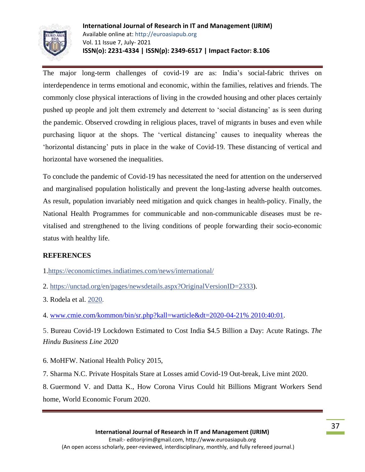

The major long-term challenges of covid-19 are as: India's social-fabric thrives on interdependence in terms emotional and economic, within the families, relatives and friends. The commonly close physical interactions of living in the crowded housing and other places certainly pushed up people and jolt them extremely and deterrent to 'social distancing' as is seen during the pandemic. Observed crowding in religious places, travel of migrants in buses and even while purchasing liquor at the shops. The 'vertical distancing' causes to inequality whereas the 'horizontal distancing' puts in place in the wake of Covid-19. These distancing of vertical and horizontal have worsened the inequalities.

To conclude the pandemic of Covid-19 has necessitated the need for attention on the underserved and marginalised population holistically and prevent the long-lasting adverse health outcomes. As result, population invariably need mitigation and quick changes in health-policy. Finally, the National Health Programmes for communicable and non-communicable diseases must be revitalised and strengthened to the living conditions of people forwarding their socio-economic status with healthy life.

# **REFERENCES**

1[.https://economictimes.indiatimes.com/news/international/](https://economictimes.indiatimes.com/news/international/)

2. [https://unctad.org/en/pages/newsdetails.aspx?OriginalVersionID=2333\)](https://unctad.org/en/pages/newsdetails.aspx?OriginalVersionID=2333).

3. Rodela et al. [2020](https://www.ncbi.nlm.nih.gov/pmc/articles/PMC7838236/#CR8).

4. [www.cmie.com/kommon/bin/sr.php?kall=warticle&dt=2020-04-21% 2010:40:01.](http://www.cmie.com/kommon/bin/sr.php?kall=warticle&dt=2020-04-21%25%202010:40:01)

5. Bureau Covid-19 Lockdown Estimated to Cost India \$4.5 Billion a Day: Acute Ratings. *The Hindu Business Line 2020*

6. MoHFW. National Health Policy 2015,

7. Sharma N.C. Private Hospitals Stare at Losses amid Covid-19 Out-break, Live mint 2020.

8. Guermond V. and Datta K., How Corona Virus Could hit Billions Migrant Workers Send home, World Economic Forum 2020.